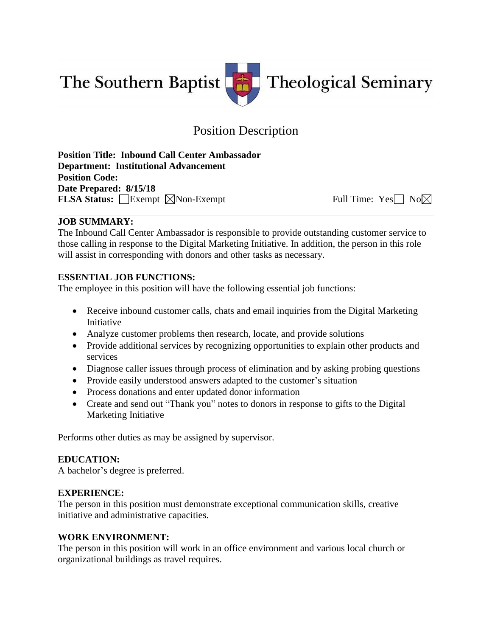The Southern Baptist



# Position Description

**Position Title: Inbound Call Center Ambassador Department: Institutional Advancement Position Code: Date Prepared: 8/15/18 FLSA Status:** Exempt  $\boxtimes$  Non-Exempt Full Time: Yes No $\boxtimes$ 

#### **JOB SUMMARY:**

The Inbound Call Center Ambassador is responsible to provide outstanding customer service to those calling in response to the Digital Marketing Initiative. In addition, the person in this role will assist in corresponding with donors and other tasks as necessary.

## **ESSENTIAL JOB FUNCTIONS:**

The employee in this position will have the following essential job functions:

- Receive inbound customer calls, chats and email inquiries from the Digital Marketing Initiative
- Analyze customer problems then research, locate, and provide solutions
- Provide additional services by recognizing opportunities to explain other products and services
- Diagnose caller issues through process of elimination and by asking probing questions
- Provide easily understood answers adapted to the customer's situation
- Process donations and enter updated donor information
- Create and send out "Thank you" notes to donors in response to gifts to the Digital Marketing Initiative

Performs other duties as may be assigned by supervisor.

## **EDUCATION:**

A bachelor's degree is preferred.

## **EXPERIENCE:**

The person in this position must demonstrate exceptional communication skills, creative initiative and administrative capacities.

## **WORK ENVIRONMENT:**

The person in this position will work in an office environment and various local church or organizational buildings as travel requires.